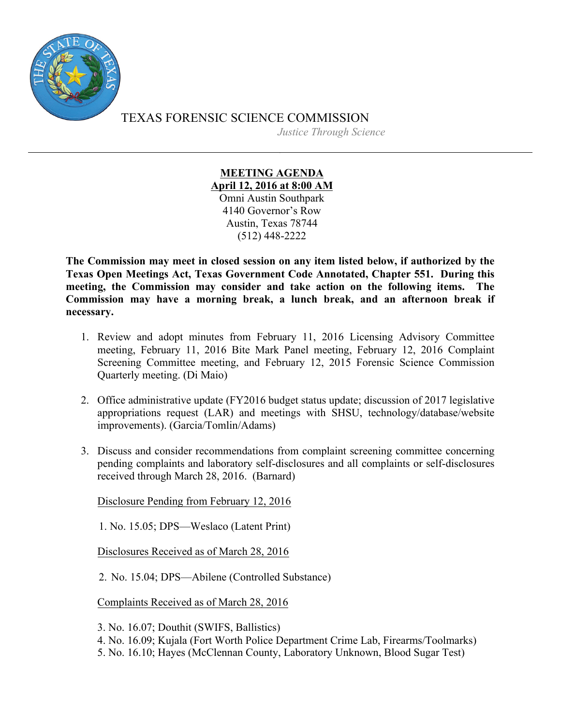

TEXAS FORENSIC SCIENCE COMMISSION *Justice Through Science*

## **MEETING AGENDA April 12, 2016 at 8:00 AM** Omni Austin Southpark 4140 Governor's Row Austin, Texas 78744 (512) 448-2222

**The Commission may meet in closed session on any item listed below, if authorized by the Texas Open Meetings Act, Texas Government Code Annotated, Chapter 551. During this meeting, the Commission may consider and take action on the following items. The Commission may have a morning break, a lunch break, and an afternoon break if necessary.**

- 1. Review and adopt minutes from February 11, 2016 Licensing Advisory Committee meeting, February 11, 2016 Bite Mark Panel meeting, February 12, 2016 Complaint Screening Committee meeting, and February 12, 2015 Forensic Science Commission Quarterly meeting. (Di Maio)
- 2. Office administrative update (FY2016 budget status update; discussion of 2017 legislative appropriations request (LAR) and meetings with SHSU, technology/database/website improvements). (Garcia/Tomlin/Adams)
- 3. Discuss and consider recommendations from complaint screening committee concerning pending complaints and laboratory self-disclosures and all complaints or self-disclosures received through March 28, 2016. (Barnard)

Disclosure Pending from February 12, 2016

1. No. 15.05; DPS—Weslaco (Latent Print)

Disclosures Received as of March 28, 2016

2. No. 15.04; DPS—Abilene (Controlled Substance)

Complaints Received as of March 28, 2016

3. No. 16.07; Douthit (SWIFS, Ballistics)

- 4. No. 16.09; Kujala (Fort Worth Police Department Crime Lab, Firearms/Toolmarks)
- 5. No. 16.10; Hayes (McClennan County, Laboratory Unknown, Blood Sugar Test)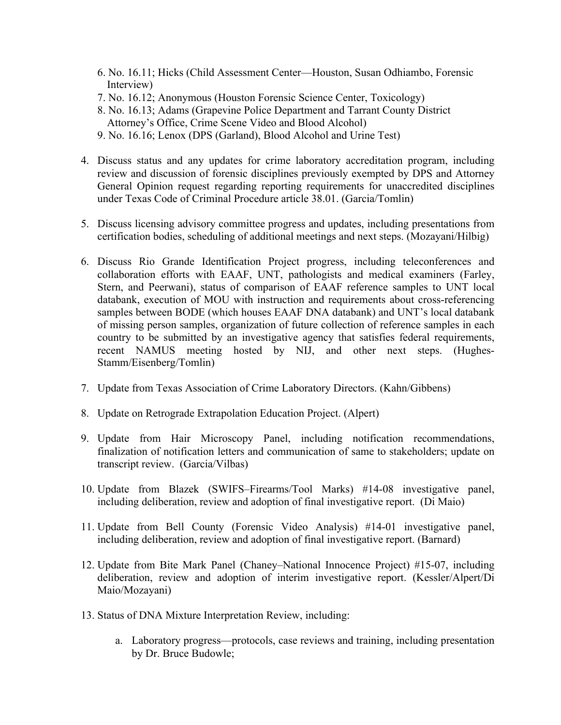- 6. No. 16.11; Hicks (Child Assessment Center—Houston, Susan Odhiambo, Forensic Interview)
- 7. No. 16.12; Anonymous (Houston Forensic Science Center, Toxicology)
- 8. No. 16.13; Adams (Grapevine Police Department and Tarrant County District Attorney's Office, Crime Scene Video and Blood Alcohol)
- 9. No. 16.16; Lenox (DPS (Garland), Blood Alcohol and Urine Test)
- 4. Discuss status and any updates for crime laboratory accreditation program, including review and discussion of forensic disciplines previously exempted by DPS and Attorney General Opinion request regarding reporting requirements for unaccredited disciplines under Texas Code of Criminal Procedure article 38.01. (Garcia/Tomlin)
- 5. Discuss licensing advisory committee progress and updates, including presentations from certification bodies, scheduling of additional meetings and next steps. (Mozayani/Hilbig)
- 6. Discuss Rio Grande Identification Project progress, including teleconferences and collaboration efforts with EAAF, UNT, pathologists and medical examiners (Farley, Stern, and Peerwani), status of comparison of EAAF reference samples to UNT local databank, execution of MOU with instruction and requirements about cross-referencing samples between BODE (which houses EAAF DNA databank) and UNT's local databank of missing person samples, organization of future collection of reference samples in each country to be submitted by an investigative agency that satisfies federal requirements, recent NAMUS meeting hosted by NIJ, and other next steps. (Hughes-Stamm/Eisenberg/Tomlin)
- 7. Update from Texas Association of Crime Laboratory Directors. (Kahn/Gibbens)
- 8. Update on Retrograde Extrapolation Education Project. (Alpert)
- 9. Update from Hair Microscopy Panel, including notification recommendations, finalization of notification letters and communication of same to stakeholders; update on transcript review. (Garcia/Vilbas)
- 10. Update from Blazek (SWIFS–Firearms/Tool Marks) #14-08 investigative panel, including deliberation, review and adoption of final investigative report. (Di Maio)
- 11. Update from Bell County (Forensic Video Analysis) #14-01 investigative panel, including deliberation, review and adoption of final investigative report. (Barnard)
- 12. Update from Bite Mark Panel (Chaney–National Innocence Project) #15-07, including deliberation, review and adoption of interim investigative report. (Kessler/Alpert/Di Maio/Mozayani)
- 13. Status of DNA Mixture Interpretation Review, including:
	- a. Laboratory progress—protocols, case reviews and training, including presentation by Dr. Bruce Budowle;